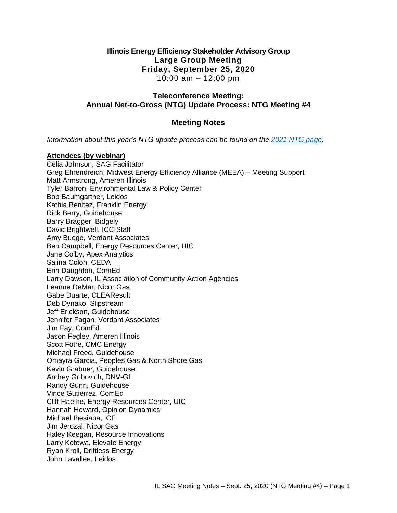### **Illinois Energy Efficiency Stakeholder Advisory Group Large Group Meeting Friday, September 25, 2020** 10:00 am – 12:00 pm

### **Teleconference Meeting: Annual Net-to-Gross (NTG) Update Process: NTG Meeting #4**

### **Meeting Notes**

*Information about this year's NTG update process can be found on the [2021 NTG page.](https://www.ilsag.info/evaluator-ntg-recommendations-for-2021/)* 

### **Attendees (by webinar)**

Celia Johnson, SAG Facilitator Greg Ehrendreich, Midwest Energy Efficiency Alliance (MEEA) – Meeting Support Matt Armstrong, Ameren Illinois Tyler Barron, Environmental Law & Policy Center Bob Baumgartner, Leidos Kathia Benitez, Franklin Energy Rick Berry, Guidehouse Barry Bragger, Bidgely David Brightwell, ICC Staff Amy Buege, Verdant Associates Ben Campbell, Energy Resources Center, UIC Jane Colby, Apex Analytics Salina Colon, CEDA Erin Daughton, ComEd Larry Dawson, IL Association of Community Action Agencies Leanne DeMar, Nicor Gas Gabe Duarte, CLEAResult Deb Dynako, Slipstream Jeff Erickson, Guidehouse Jennifer Fagan, Verdant Associates Jim Fay, ComEd Jason Fegley, Ameren Illinois Scott Fotre, CMC Energy Michael Freed, Guidehouse Omayra Garcia, Peoples Gas & North Shore Gas Kevin Grabner, Guidehouse Andrey Gribovich, DNV-GL Randy Gunn, Guidehouse Vince Gutierrez, ComEd Cliff Haefke, Energy Resources Center, UIC Hannah Howard, Opinion Dynamics Michael Ihesiaba, ICF Jim Jerozal, Nicor Gas Haley Keegan, Resource Innovations Larry Kotewa, Elevate Energy Ryan Kroll, Driftless Energy John Lavallee, Leidos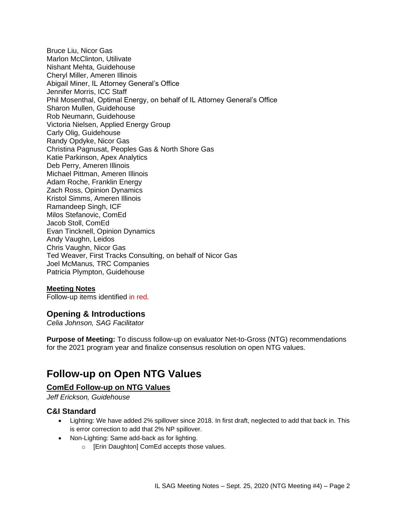Bruce Liu, Nicor Gas Marlon McClinton, Utilivate Nishant Mehta, Guidehouse Cheryl Miller, Ameren Illinois Abigail Miner, IL Attorney General's Office Jennifer Morris, ICC Staff Phil Mosenthal, Optimal Energy, on behalf of IL Attorney General's Office Sharon Mullen, Guidehouse Rob Neumann, Guidehouse Victoria Nielsen, Applied Energy Group Carly Olig, Guidehouse Randy Opdyke, Nicor Gas Christina Pagnusat, Peoples Gas & North Shore Gas Katie Parkinson, Apex Analytics Deb Perry, Ameren Illinois Michael Pittman, Ameren Illinois Adam Roche, Franklin Energy Zach Ross, Opinion Dynamics Kristol Simms, Ameren Illinois Ramandeep Singh, ICF Milos Stefanovic, ComEd Jacob Stoll, ComEd Evan Tincknell, Opinion Dynamics Andy Vaughn, Leidos Chris Vaughn, Nicor Gas Ted Weaver, First Tracks Consulting, on behalf of Nicor Gas Joel McManus, TRC Companies Patricia Plympton, Guidehouse

#### **Meeting Notes**

Follow-up items identified in red.

### **Opening & Introductions**

*Celia Johnson, SAG Facilitator*

**Purpose of Meeting:** To discuss follow-up on evaluator Net-to-Gross (NTG) recommendations for the 2021 program year and finalize consensus resolution on open NTG values.

## **Follow-up on Open NTG Values**

### **ComEd Follow-up on NTG Values**

*Jeff Erickson, Guidehouse*

### **C&I Standard**

- Lighting: We have added 2% spillover since 2018. In first draft, neglected to add that back in. This is error correction to add that 2% NP spillover.
- Non-Lighting: Same add-back as for lighting.
	- o [Erin Daughton] ComEd accepts those values.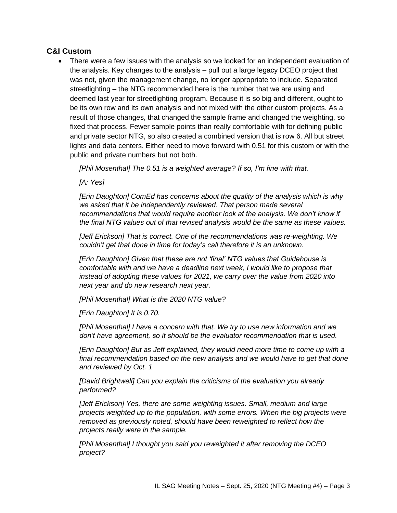### **C&I Custom**

• There were a few issues with the analysis so we looked for an independent evaluation of the analysis. Key changes to the analysis – pull out a large legacy DCEO project that was not, given the management change, no longer appropriate to include. Separated streetlighting – the NTG recommended here is the number that we are using and deemed last year for streetlighting program. Because it is so big and different, ought to be its own row and its own analysis and not mixed with the other custom projects. As a result of those changes, that changed the sample frame and changed the weighting, so fixed that process. Fewer sample points than really comfortable with for defining public and private sector NTG, so also created a combined version that is row 6. All but street lights and data centers. Either need to move forward with 0.51 for this custom or with the public and private numbers but not both.

*[Phil Mosenthal] The 0.51 is a weighted average? If so, I'm fine with that.*

*[A: Yes]*

*[Erin Daughton] ComEd has concerns about the quality of the analysis which is why we asked that it be independently reviewed. That person made several*  recommendations that would require another look at the analysis. We don't know if *the final NTG values out of that revised analysis would be the same as these values.*

*[Jeff Erickson] That is correct. One of the recommendations was re-weighting. We couldn't get that done in time for today's call therefore it is an unknown.*

*[Erin Daughton] Given that these are not 'final' NTG values that Guidehouse is comfortable with and we have a deadline next week, I would like to propose that instead of adopting these values for 2021, we carry over the value from 2020 into next year and do new research next year.*

*[Phil Mosenthal] What is the 2020 NTG value?* 

*[Erin Daughton] It is 0.70.*

*[Phil Mosenthal] I have a concern with that. We try to use new information and we don't have agreement, so it should be the evaluator recommendation that is used.*

*[Erin Daughton] But as Jeff explained, they would need more time to come up with a final recommendation based on the new analysis and we would have to get that done and reviewed by Oct. 1*

*[David Brightwell] Can you explain the criticisms of the evaluation you already performed?*

*[Jeff Erickson] Yes, there are some weighting issues. Small, medium and large projects weighted up to the population, with some errors. When the big projects were removed as previously noted, should have been reweighted to reflect how the projects really were in the sample.*

*[Phil Mosenthal] I thought you said you reweighted it after removing the DCEO project?*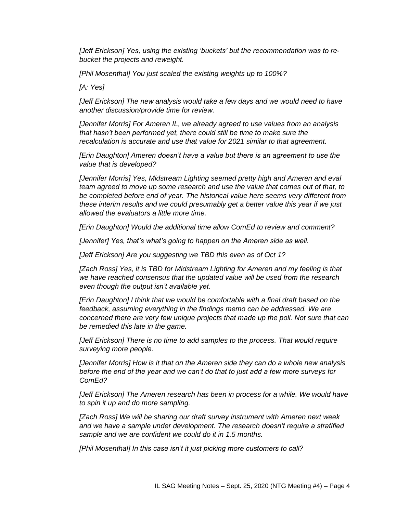*[Jeff Erickson] Yes, using the existing 'buckets' but the recommendation was to rebucket the projects and reweight.*

*[Phil Mosenthal] You just scaled the existing weights up to 100%?*

*[A: Yes]*

*[Jeff Erickson] The new analysis would take a few days and we would need to have another discussion/provide time for review.*

*[Jennifer Morris] For Ameren IL, we already agreed to use values from an analysis that hasn't been performed yet, there could still be time to make sure the recalculation is accurate and use that value for 2021 similar to that agreement.*

*[Erin Daughton] Ameren doesn't have a value but there is an agreement to use the value that is developed?*

*[Jennifer Morris] Yes, Midstream Lighting seemed pretty high and Ameren and eval team agreed to move up some research and use the value that comes out of that, to be completed before end of year. The historical value here seems very different from these interim results and we could presumably get a better value this year if we just allowed the evaluators a little more time.*

*[Erin Daughton] Would the additional time allow ComEd to review and comment?*

*[Jennifer] Yes, that's what's going to happen on the Ameren side as well.*

*[Jeff Erickson] Are you suggesting we TBD this even as of Oct 1?*

*[Zach Ross] Yes, it is TBD for Midstream Lighting for Ameren and my feeling is that we have reached consensus that the updated value will be used from the research even though the output isn't available yet.*

*[Erin Daughton] I think that we would be comfortable with a final draft based on the feedback, assuming everything in the findings memo can be addressed. We are concerned there are very few unique projects that made up the poll. Not sure that can be remedied this late in the game.*

*[Jeff Erickson] There is no time to add samples to the process. That would require surveying more people.*

*[Jennifer Morris] How is it that on the Ameren side they can do a whole new analysis before the end of the year and we can't do that to just add a few more surveys for ComEd?*

*[Jeff Erickson] The Ameren research has been in process for a while. We would have to spin it up and do more sampling.*

*[Zach Ross] We will be sharing our draft survey instrument with Ameren next week and we have a sample under development. The research doesn't require a stratified sample and we are confident we could do it in 1.5 months.*

*[Phil Mosenthal] In this case isn't it just picking more customers to call?*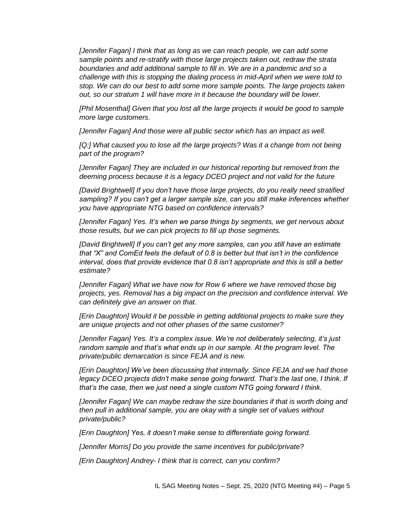*[Jennifer Fagan] I think that as long as we can reach people, we can add some sample points and re-stratify with those large projects taken out, redraw the strata boundaries and add additional sample to fill in. We are in a pandemic and so a challenge with this is stopping the dialing process in mid-April when we were told to stop. We can do our best to add some more sample points. The large projects taken out, so our stratum 1 will have more in it because the boundary will be lower.* 

*[Phil Mosenthal] Given that you lost all the large projects it would be good to sample more large customers.*

*[Jennifer Fagan] And those were all public sector which has an impact as well.*

*[Q:] What caused you to lose all the large projects? Was it a change from not being part of the program?*

*[Jennifer Fagan] They are included in our historical reporting but removed from the deeming process because it is a legacy DCEO project and not valid for the future*

*[David Brightwell] If you don't have those large projects, do you really need stratified sampling? If you can't get a larger sample size, can you still make inferences whether you have appropriate NTG based on confidence intervals?*

*[Jennifer Fagan] Yes. It's when we parse things by segments, we get nervous about those results, but we can pick projects to fill up those segments.*

*[David Brightwell] If you can't get any more samples, can you still have an estimate that "X" and ComEd feels the default of 0.8 is better but that isn't in the confidence interval, does that provide evidence that 0.8 isn't appropriate and this is still a better estimate?*

*[Jennifer Fagan] What we have now for Row 6 where we have removed those big projects, yes. Removal has a big impact on the precision and confidence interval. We can definitely give an answer on that.*

*[Erin Daughton] Would it be possible in getting additional projects to make sure they are unique projects and not other phases of the same customer?*

*[Jennifer Fagan] Yes. It's a complex issue. We're not deliberately selecting, it's just*  random sample and that's what ends up in our sample. At the program level. The *private/public demarcation is since FEJA and is new.*

*[Erin Daughton] We've been discussing that internally. Since FEJA and we had those legacy DCEO projects didn't make sense going forward. That's the last one, I think. If that's the case, then we just need a single custom NTG going forward I think.*

*[Jennifer Fagan] We can maybe redraw the size boundaries if that is worth doing and then pull in additional sample, you are okay with a single set of values without private/public?*

*[Erin Daughton] Yes, it doesn't make sense to differentiate going forward.*

*[Jennifer Morris] Do you provide the same incentives for public/private?*

*[Erin Daughton] Andrey- I think that is correct, can you confirm?*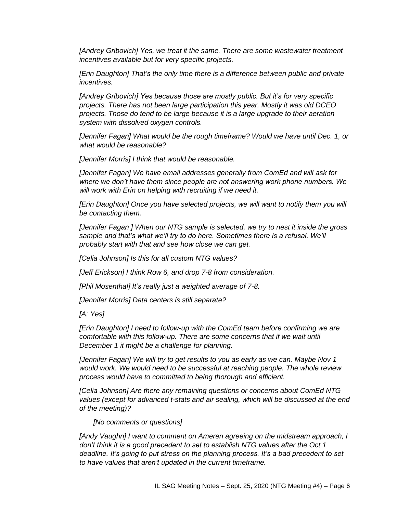[Andrey Gribovich] Yes, we treat it the same. There are some wastewater treatment *incentives available but for very specific projects.*

*[Erin Daughton] That's the only time there is a difference between public and private incentives.*

*[Andrey Gribovich] Yes because those are mostly public. But it's for very specific projects. There has not been large participation this year. Mostly it was old DCEO projects. Those do tend to be large because it is a large upgrade to their aeration system with dissolved oxygen controls.* 

*[Jennifer Fagan] What would be the rough timeframe? Would we have until Dec. 1, or what would be reasonable?*

*[Jennifer Morris] I think that would be reasonable.*

*[Jennifer Fagan] We have email addresses generally from ComEd and will ask for where we don't have them since people are not answering work phone numbers. We will work with Erin on helping with recruiting if we need it.*

*[Erin Daughton] Once you have selected projects, we will want to notify them you will be contacting them.*

*[Jennifer Fagan ] When our NTG sample is selected, we try to nest it inside the gross*  sample and that's what we'll try to do here. Sometimes there is a refusal. We'll *probably start with that and see how close we can get.*

*[Celia Johnson] Is this for all custom NTG values?*

*[Jeff Erickson] I think Row 6, and drop 7-8 from consideration.*

*[Phil Mosenthal] It's really just a weighted average of 7-8.*

*[Jennifer Morris] Data centers is still separate?*

*[A: Yes]*

*[Erin Daughton] I need to follow-up with the ComEd team before confirming we are comfortable with this follow-up. There are some concerns that if we wait until December 1 it might be a challenge for planning.*

*[Jennifer Fagan] We will try to get results to you as early as we can. Maybe Nov 1 would work. We would need to be successful at reaching people. The whole review process would have to committed to being thorough and efficient.* 

*[Celia Johnson] Are there any remaining questions or concerns about ComEd NTG values (except for advanced t-stats and air sealing, which will be discussed at the end of the meeting)?*

*[No comments or questions]*

*[Andy Vaughn] I want to comment on Ameren agreeing on the midstream approach, I don't think it is a good precedent to set to establish NTG values after the Oct 1 deadline. It's going to put stress on the planning process. It's a bad precedent to set to have values that aren't updated in the current timeframe.*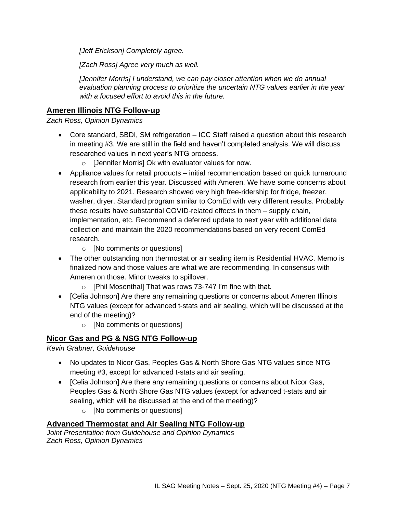*[Jeff Erickson] Completely agree.*

*[Zach Ross] Agree very much as well.*

*[Jennifer Morris] I understand, we can pay closer attention when we do annual evaluation planning process to prioritize the uncertain NTG values earlier in the year with a focused effort to avoid this in the future.*

### **Ameren Illinois NTG Follow-up**

*Zach Ross, Opinion Dynamics*

- Core standard, SBDI, SM refrigeration ICC Staff raised a question about this research in meeting #3. We are still in the field and haven't completed analysis. We will discuss researched values in next year's NTG process.
	- o [Jennifer Morris] Ok with evaluator values for now.
- Appliance values for retail products initial recommendation based on quick turnaround research from earlier this year. Discussed with Ameren. We have some concerns about applicability to 2021. Research showed very high free-ridership for fridge, freezer, washer, dryer. Standard program similar to ComEd with very different results. Probably these results have substantial COVID-related effects in them – supply chain, implementation, etc. Recommend a deferred update to next year with additional data collection and maintain the 2020 recommendations based on very recent ComEd research.
	- o [No comments or questions]
- The other outstanding non thermostat or air sealing item is Residential HVAC. Memo is finalized now and those values are what we are recommending. In consensus with Ameren on those. Minor tweaks to spillover.
	- $\circ$  [Phil Mosenthal] That was rows 73-74? I'm fine with that.
- [Celia Johnson] Are there any remaining questions or concerns about Ameren Illinois NTG values (except for advanced t-stats and air sealing, which will be discussed at the end of the meeting)?
	- o [No comments or questions]

### **Nicor Gas and PG & NSG NTG Follow-up**

*Kevin Grabner, Guidehouse*

- No updates to Nicor Gas, Peoples Gas & North Shore Gas NTG values since NTG meeting #3, except for advanced t-stats and air sealing.
- [Celia Johnson] Are there any remaining questions or concerns about Nicor Gas, Peoples Gas & North Shore Gas NTG values (except for advanced t-stats and air sealing, which will be discussed at the end of the meeting)?
	- o [No comments or questions]

### **Advanced Thermostat and Air Sealing NTG Follow-up**

*Joint Presentation from Guidehouse and Opinion Dynamics Zach Ross, Opinion Dynamics*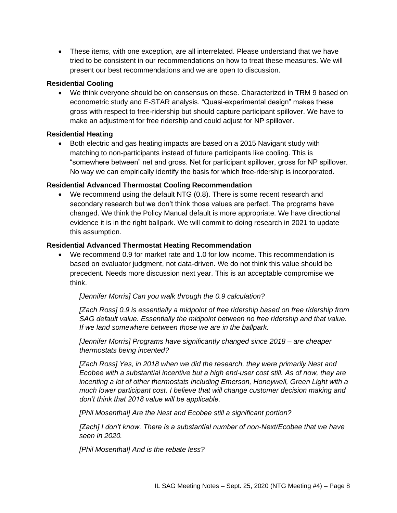• These items, with one exception, are all interrelated. Please understand that we have tried to be consistent in our recommendations on how to treat these measures. We will present our best recommendations and we are open to discussion.

### **Residential Cooling**

• We think everyone should be on consensus on these. Characterized in TRM 9 based on econometric study and E-STAR analysis. "Quasi-experimental design" makes these gross with respect to free-ridership but should capture participant spillover. We have to make an adjustment for free ridership and could adjust for NP spillover.

### **Residential Heating**

• Both electric and gas heating impacts are based on a 2015 Navigant study with matching to non-participants instead of future participants like cooling. This is "somewhere between" net and gross. Net for participant spillover, gross for NP spillover. No way we can empirically identify the basis for which free-ridership is incorporated.

### **Residential Advanced Thermostat Cooling Recommendation**

• We recommend using the default NTG (0.8). There is some recent research and secondary research but we don't think those values are perfect. The programs have changed. We think the Policy Manual default is more appropriate. We have directional evidence it is in the right ballpark. We will commit to doing research in 2021 to update this assumption.

### **Residential Advanced Thermostat Heating Recommendation**

• We recommend 0.9 for market rate and 1.0 for low income. This recommendation is based on evaluator judgment, not data-driven. We do not think this value should be precedent. Needs more discussion next year. This is an acceptable compromise we think.

#### *[Jennifer Morris] Can you walk through the 0.9 calculation?*

*[Zach Ross] 0.9 is essentially a midpoint of free ridership based on free ridership from SAG default value. Essentially the midpoint between no free ridership and that value. If we land somewhere between those we are in the ballpark.*

*[Jennifer Morris] Programs have significantly changed since 2018 – are cheaper thermostats being incented?*

*[Zach Ross] Yes, in 2018 when we did the research, they were primarily Nest and Ecobee with a substantial incentive but a high end-user cost still. As of now, they are incenting a lot of other thermostats including Emerson, Honeywell, Green Light with a much lower participant cost. I believe that will change customer decision making and don't think that 2018 value will be applicable.*

*[Phil Mosenthal] Are the Nest and Ecobee still a significant portion?*

*[Zach] I don't know. There is a substantial number of non-Next/Ecobee that we have seen in 2020.* 

*[Phil Mosenthal] And is the rebate less?*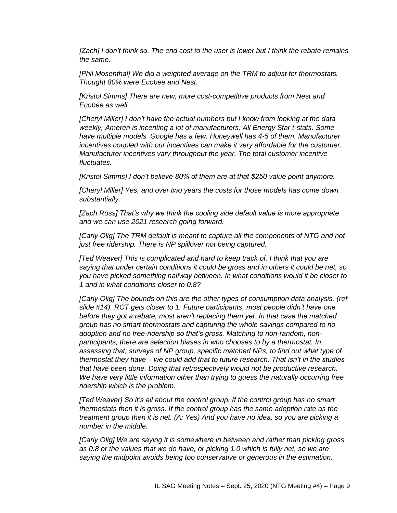*[Zach] I don't think so. The end cost to the user is lower but I think the rebate remains the same.*

*[Phil Mosenthal] We did a weighted average on the TRM to adjust for thermostats. Thought 80% were Ecobee and Nest.*

*[Kristol Simms] There are new, more cost-competitive products from Nest and Ecobee as well.*

*[Cheryl Miller] I don't have the actual numbers but I know from looking at the data weekly, Ameren is incenting a lot of manufacturers. All Energy Star t-stats. Some have multiple models. Google has a few. Honeywell has 4-5 of them. Manufacturer incentives coupled with our incentives can make it very affordable for the customer. Manufacturer incentives vary throughout the year. The total customer incentive fluctuates.*

*[Kristol Simms] I don't believe 80% of them are at that \$250 value point anymore.*

*[Cheryl Miller] Yes, and over two years the costs for those models has come down substantially.*

*[Zach Ross] That's why we think the cooling side default value is more appropriate and we can use 2021 research going forward.*

*[Carly Olig] The TRM default is meant to capture all the components of NTG and not just free ridership. There is NP spillover not being captured.*

*[Ted Weaver] This is complicated and hard to keep track of. I think that you are saying that under certain conditions it could be gross and in others it could be net, so you have picked something halfway between. In what conditions would it be closer to 1 and in what conditions closer to 0.8?*

*[Carly Olig] The bounds on this are the other types of consumption data analysis. (ref slide #14). RCT gets closer to 1. Future participants, most people didn't have one before they got a rebate, most aren't replacing them yet. In that case the matched group has no smart thermostats and capturing the whole savings compared to no adoption and no free-ridership so that's gross. Matching to non-random, nonparticipants, there are selection biases in who chooses to by a thermostat. In assessing that, surveys of NP group, specific matched NPs, to find out what type of thermostat they have – we could add that to future research. That isn't in the studies that have been done. Doing that retrospectively would not be productive research. We have very little information other than trying to guess the naturally occurring free ridership which is the problem.*

*[Ted Weaver] So it's all about the control group. If the control group has no smart thermostats then it is gross. If the control group has the same adoption rate as the treatment group then it is net. (A: Yes) And you have no idea, so you are picking a number in the middle.*

*[Carly Olig] We are saying it is somewhere in between and rather than picking gross as 0.8 or the values that we do have, or picking 1.0 which is fully net, so we are saying the midpoint avoids being too conservative or generous in the estimation.*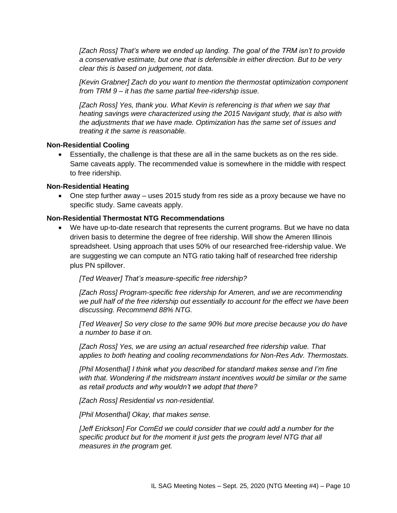*[Zach Ross] That's where we ended up landing. The goal of the TRM isn't to provide a conservative estimate, but one that is defensible in either direction. But to be very clear this is based on judgement, not data.*

*[Kevin Grabner] Zach do you want to mention the thermostat optimization component from TRM 9 – it has the same partial free-ridership issue.*

*[Zach Ross] Yes, thank you. What Kevin is referencing is that when we say that heating savings were characterized using the 2015 Navigant study, that is also with the adjustments that we have made. Optimization has the same set of issues and treating it the same is reasonable.*

#### **Non-Residential Cooling**

• Essentially, the challenge is that these are all in the same buckets as on the res side. Same caveats apply. The recommended value is somewhere in the middle with respect to free ridership.

#### **Non-Residential Heating**

• One step further away – uses 2015 study from res side as a proxy because we have no specific study. Same caveats apply.

#### **Non-Residential Thermostat NTG Recommendations**

• We have up-to-date research that represents the current programs. But we have no data driven basis to determine the degree of free ridership. Will show the Ameren Illinois spreadsheet. Using approach that uses 50% of our researched free-ridership value. We are suggesting we can compute an NTG ratio taking half of researched free ridership plus PN spillover.

*[Ted Weaver] That's measure-specific free ridership?*

*[Zach Ross] Program-specific free ridership for Ameren, and we are recommending we pull half of the free ridership out essentially to account for the effect we have been discussing. Recommend 88% NTG.*

*[Ted Weaver] So very close to the same 90% but more precise because you do have a number to base it on.*

*[Zach Ross] Yes, we are using an actual researched free ridership value. That applies to both heating and cooling recommendations for Non-Res Adv. Thermostats.*

*[Phil Mosenthal] I think what you described for standard makes sense and I'm fine with that. Wondering if the midstream instant incentives would be similar or the same as retail products and why wouldn't we adopt that there?*

*[Zach Ross] Residential vs non-residential.*

*[Phil Mosenthal] Okay, that makes sense.* 

*[Jeff Erickson] For ComEd we could consider that we could add a number for the specific product but for the moment it just gets the program level NTG that all measures in the program get.*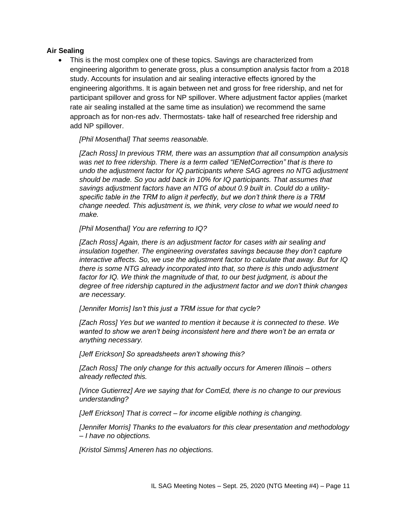### **Air Sealing**

This is the most complex one of these topics. Savings are characterized from engineering algorithm to generate gross, plus a consumption analysis factor from a 2018 study. Accounts for insulation and air sealing interactive effects ignored by the engineering algorithms. It is again between net and gross for free ridership, and net for participant spillover and gross for NP spillover. Where adjustment factor applies (market rate air sealing installed at the same time as insulation) we recommend the same approach as for non-res adv. Thermostats- take half of researched free ridership and add NP spillover.

*[Phil Mosenthal] That seems reasonable.*

*[Zach Ross] In previous TRM, there was an assumption that all consumption analysis was net to free ridership. There is a term called "IENetCorrection" that is there to undo the adjustment factor for IQ participants where SAG agrees no NTG adjustment should be made. So you add back in 10% for IQ participants. That assumes that savings adjustment factors have an NTG of about 0.9 built in. Could do a utilityspecific table in the TRM to align it perfectly, but we don't think there is a TRM change needed. This adjustment is, we think, very close to what we would need to make.*

*[Phil Mosenthal] You are referring to IQ?* 

*[Zach Ross] Again, there is an adjustment factor for cases with air sealing and insulation together. The engineering overstates savings because they don't capture interactive affects. So, we use the adjustment factor to calculate that away. But for IQ there is some NTG already incorporated into that, so there is this undo adjustment*  factor for IQ. We think the magnitude of that, to our best judgment, is about the *degree of free ridership captured in the adjustment factor and we don't think changes are necessary.*

*[Jennifer Morris] Isn't this just a TRM issue for that cycle?*

*[Zach Ross] Yes but we wanted to mention it because it is connected to these. We wanted to show we aren't being inconsistent here and there won't be an errata or anything necessary.*

*[Jeff Erickson] So spreadsheets aren't showing this?*

*[Zach Ross] The only change for this actually occurs for Ameren Illinois – others already reflected this.*

*[Vince Gutierrez] Are we saying that for ComEd, there is no change to our previous understanding?*

*[Jeff Erickson] That is correct – for income eligible nothing is changing.*

*[Jennifer Morris] Thanks to the evaluators for this clear presentation and methodology – I have no objections.*

*[Kristol Simms] Ameren has no objections.*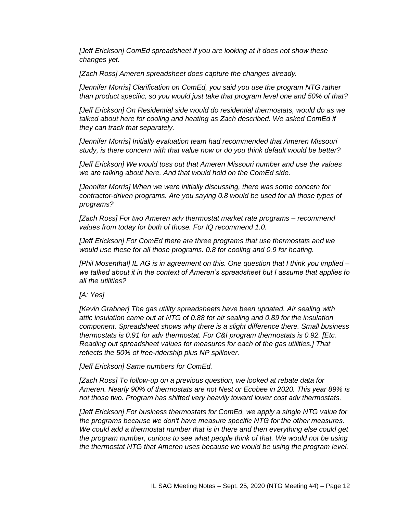*[Jeff Erickson] ComEd spreadsheet if you are looking at it does not show these changes yet.*

*[Zach Ross] Ameren spreadsheet does capture the changes already.*

*[Jennifer Morris] Clarification on ComEd, you said you use the program NTG rather than product specific, so you would just take that program level one and 50% of that?*

*[Jeff Erickson] On Residential side would do residential thermostats, would do as we*  talked about here for cooling and heating as Zach described. We asked ComEd if *they can track that separately.* 

*[Jennifer Morris] Initially evaluation team had recommended that Ameren Missouri study, is there concern with that value now or do you think default would be better?*

*[Jeff Erickson] We would toss out that Ameren Missouri number and use the values we are talking about here. And that would hold on the ComEd side.*

*[Jennifer Morris] When we were initially discussing, there was some concern for contractor-driven programs. Are you saying 0.8 would be used for all those types of programs?* 

*[Zach Ross] For two Ameren adv thermostat market rate programs – recommend values from today for both of those. For IQ recommend 1.0.* 

*[Jeff Erickson] For ComEd there are three programs that use thermostats and we would use these for all those programs. 0.8 for cooling and 0.9 for heating.*

*[Phil Mosenthal] IL AG is in agreement on this. One question that I think you implied – we talked about it in the context of Ameren's spreadsheet but I assume that applies to all the utilities?* 

*[A: Yes]*

*[Kevin Grabner] The gas utility spreadsheets have been updated. Air sealing with attic insulation came out at NTG of 0.88 for air sealing and 0.89 for the insulation component. Spreadsheet shows why there is a slight difference there. Small business thermostats is 0.91 for adv thermostat. For C&I program thermostats is 0.92. [Etc. Reading out spreadsheet values for measures for each of the gas utilities.] That reflects the 50% of free-ridership plus NP spillover.*

*[Jeff Erickson] Same numbers for ComEd.*

*[Zach Ross] To follow-up on a previous question, we looked at rebate data for Ameren. Nearly 90% of thermostats are not Nest or Ecobee in 2020. This year 89% is not those two. Program has shifted very heavily toward lower cost adv thermostats.*

*[Jeff Erickson] For business thermostats for ComEd, we apply a single NTG value for the programs because we don't have measure specific NTG for the other measures. We could add a thermostat number that is in there and then everything else could get the program number, curious to see what people think of that. We would not be using the thermostat NTG that Ameren uses because we would be using the program level.*